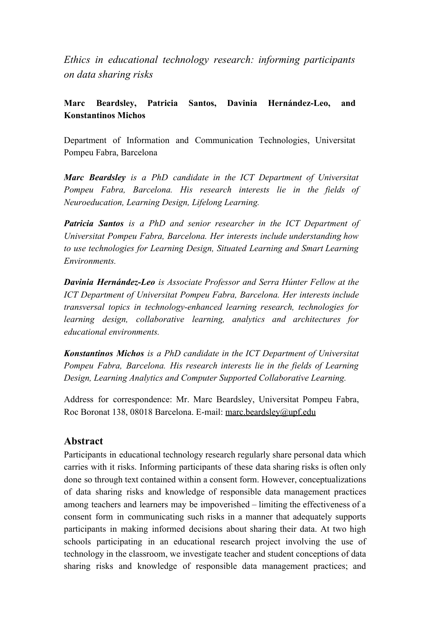*Ethics in educational technology research: informing participants on data sharing risks*

## **Marc Beardsley, Patricia Santos, Davinia Hernández-Leo, and Konstantinos Michos**

Department of Information and Communication Technologies, Universitat Pompeu Fabra, Barcelona

*Marc Beardsley is a PhD candidate in the ICT Department of Universitat Pompeu Fabra, Barcelona. His research interests lie in the fields of Neuroeducation, Learning Design, Lifelong Learning.*

*Patricia Santos is a PhD and senior researcher in the ICT Department of Universitat Pompeu Fabra, Barcelona. Her interests include understanding how to use technologies for Learning Design, Situated Learning and Smart Learning Environments.*

*Davinia Hernández-Leo is Associate Professor and Serra Húnter Fellow at the ICT Department of Universitat Pompeu Fabra, Barcelona. Her interests include transversal topics in technology-enhanced learning research, technologies for learning design, collaborative learning, analytics and architectures for educational environments.*

*Konstantinos Michos is a PhD candidate in the ICT Department of Universitat Pompeu Fabra, Barcelona. His research interests lie in the fields of Learning Design, Learning Analytics and Computer Supported Collaborative Learning.*

Address for correspondence: Mr. Marc Beardsley, Universitat Pompeu Fabra, Roc Boronat 138, 08018 Barcelona. E-mail: [marc.beardsley@upf.edu](mailto:marc.beardsley@upf.edu)

## **Abstract**

Participants in educational technology research regularly share personal data which carries with it risks. Informing participants of these data sharing risks is often only done so through text contained within a consent form. However, conceptualizations of data sharing risks and knowledge of responsible data management practices among teachers and learners may be impoverished – limiting the effectiveness of a consent form in communicating such risks in a manner that adequately supports participants in making informed decisions about sharing their data. At two high schools participating in an educational research project involving the use of technology in the classroom, we investigate teacher and student conceptions of data sharing risks and knowledge of responsible data management practices; and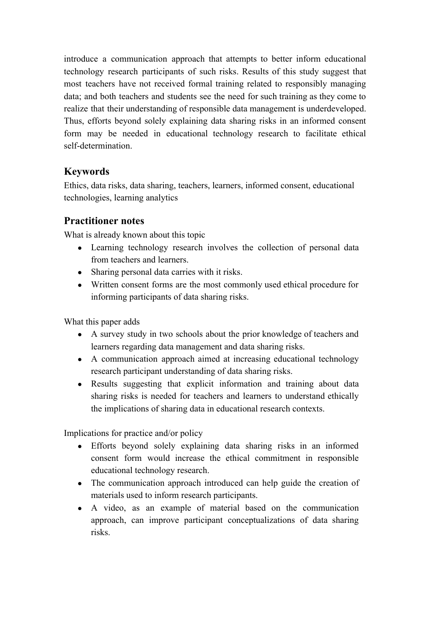introduce a communication approach that attempts to better inform educational technology research participants of such risks. Results of this study suggest that most teachers have not received formal training related to responsibly managing data; and both teachers and students see the need for such training as they come to realize that their understanding of responsible data management is underdeveloped. Thus, efforts beyond solely explaining data sharing risks in an informed consent form may be needed in educational technology research to facilitate ethical self-determination.

# **Keywords**

Ethics, data risks, data sharing, teachers, learners, informed consent, educational technologies, learning analytics

# **Practitioner notes**

What is already known about this topic

- Learning technology research involves the collection of personal data from teachers and learners.
- Sharing personal data carries with it risks.
- Written consent forms are the most commonly used ethical procedure for informing participants of data sharing risks.

What this paper adds

- A survey study in two schools about the prior knowledge of teachers and learners regarding data management and data sharing risks.
- A communication approach aimed at increasing educational technology research participant understanding of data sharing risks.
- Results suggesting that explicit information and training about data sharing risks is needed for teachers and learners to understand ethically the implications of sharing data in educational research contexts.

Implications for practice and/or policy

- Efforts beyond solely explaining data sharing risks in an informed consent form would increase the ethical commitment in responsible educational technology research.
- The communication approach introduced can help guide the creation of materials used to inform research participants.
- A video, as an example of material based on the communication approach, can improve participant conceptualizations of data sharing risks.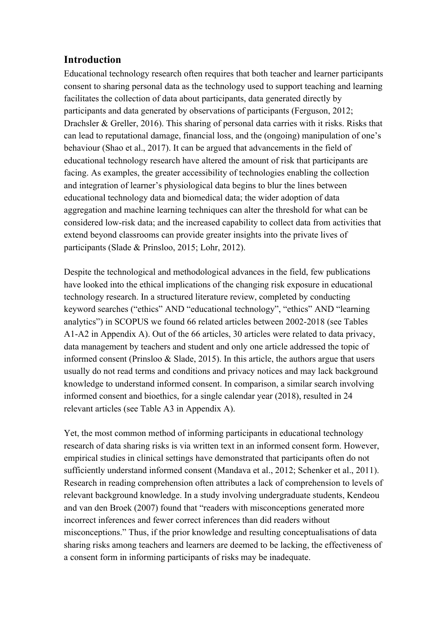# **Introduction**

Educational technology research often requires that both teacher and learner participants consent to sharing personal data as the technology used to support teaching and learning facilitates the collection of data about participants, data generated directly by participants and data generated by observations of participants (Ferguson, 2012; Drachsler & Greller, 2016). This sharing of personal data carries with it risks. Risks that can lead to reputational damage, financial loss, and the (ongoing) manipulation of one's behaviour (Shao et al., 2017). It can be argued that advancements in the field of educational technology research have altered the amount of risk that participants are facing. As examples, the greater accessibility of technologies enabling the collection and integration of learner's physiological data begins to blur the lines between educational technology data and biomedical data; the wider adoption of data aggregation and machine learning techniques can alter the threshold for what can be considered low-risk data; and the increased capability to collect data from activities that extend beyond classrooms can provide greater insights into the private lives of participants (Slade & Prinsloo, 2015; Lohr, 2012).

Despite the technological and methodological advances in the field, few publications have looked into the ethical implications of the changing risk exposure in educational technology research. In a structured literature review, completed by conducting keyword searches ("ethics" AND "educational technology", "ethics" AND "learning analytics") in SCOPUS we found 66 related articles between 2002-2018 (see Tables A1-A2 in Appendix A). Out of the 66 articles, 30 articles were related to data privacy, data management by teachers and student and only one article addressed the topic of informed consent (Prinsloo & Slade, 2015). In this article, the authors argue that users usually do not read terms and conditions and privacy notices and may lack background knowledge to understand informed consent. In comparison, a similar search involving informed consent and bioethics, for a single calendar year (2018), resulted in 24 relevant articles (see Table A3 in Appendix A).

Yet, the most common method of informing participants in educational technology research of data sharing risks is via written text in an informed consent form. However, empirical studies in clinical settings have demonstrated that participants often do not sufficiently understand informed consent (Mandava et al., 2012; Schenker et al., 2011). Research in reading comprehension often attributes a lack of comprehension to levels of relevant background knowledge. In a study involving undergraduate students, Kendeou and van den Broek (2007) found that "readers with misconceptions generated more incorrect inferences and fewer correct inferences than did readers without misconceptions." Thus, if the prior knowledge and resulting conceptualisations of data sharing risks among teachers and learners are deemed to be lacking, the effectiveness of a consent form in informing participants of risks may be inadequate.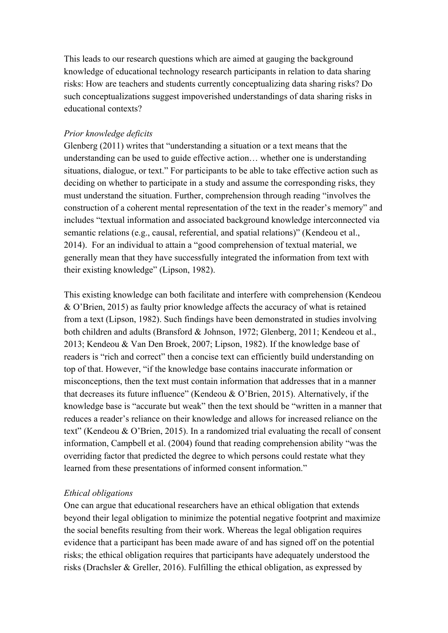This leads to our research questions which are aimed at gauging the background knowledge of educational technology research participants in relation to data sharing risks: How are teachers and students currently conceptualizing data sharing risks? Do such conceptualizations suggest impoverished understandings of data sharing risks in educational contexts?

### *Prior knowledge deficits*

Glenberg (2011) writes that "understanding a situation or a text means that the understanding can be used to guide effective action… whether one is understanding situations, dialogue, or text." For participants to be able to take effective action such as deciding on whether to participate in a study and assume the corresponding risks, they must understand the situation. Further, comprehension through reading "involves the construction of a coherent mental representation of the text in the reader's memory" and includes "textual information and associated background knowledge interconnected via semantic relations (e.g., causal, referential, and spatial relations)" (Kendeou et al., 2014). For an individual to attain a "good comprehension of textual material, we generally mean that they have successfully integrated the information from text with their existing knowledge" (Lipson, 1982).

This existing knowledge can both facilitate and interfere with comprehension (Kendeou & O'Brien, 2015) as faulty prior knowledge affects the accuracy of what is retained from a text (Lipson, 1982). Such findings have been demonstrated in studies involving both children and adults (Bransford & Johnson, 1972; Glenberg, 2011; Kendeou et al., 2013; Kendeou & Van Den Broek, 2007; Lipson, 1982). If the knowledge base of readers is "rich and correct" then a concise text can efficiently build understanding on top of that. However, "if the knowledge base contains inaccurate information or misconceptions, then the text must contain information that addresses that in a manner that decreases its future influence" (Kendeou & O'Brien, 2015). Alternatively, if the knowledge base is "accurate but weak" then the text should be "written in a manner that reduces a reader's reliance on their knowledge and allows for increased reliance on the text" (Kendeou & O'Brien, 2015). In a randomized trial evaluating the recall of consent information, Campbell et al. (2004) found that reading comprehension ability "was the overriding factor that predicted the degree to which persons could restate what they learned from these presentations of informed consent information."

### *Ethical obligations*

One can argue that educational researchers have an ethical obligation that extends beyond their legal obligation to minimize the potential negative footprint and maximize the social benefits resulting from their work. Whereas the legal obligation requires evidence that a participant has been made aware of and has signed off on the potential risks; the ethical obligation requires that participants have adequately understood the risks (Drachsler & Greller, 2016). Fulfilling the ethical obligation, as expressed by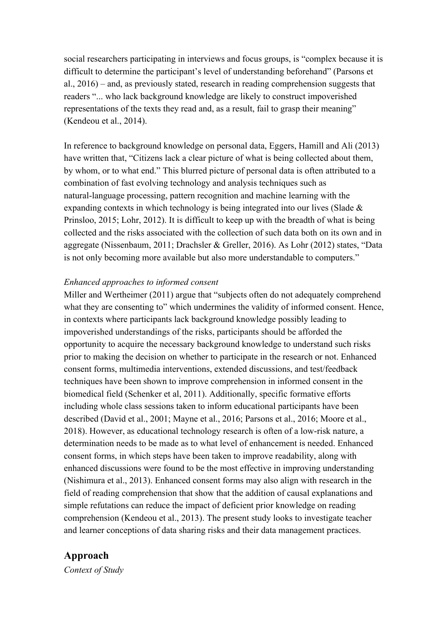social researchers participating in interviews and focus groups, is "complex because it is difficult to determine the participant's level of understanding beforehand" (Parsons et al., 2016) – and, as previously stated, research in reading comprehension suggests that readers "... who lack background knowledge are likely to construct impoverished representations of the texts they read and, as a result, fail to grasp their meaning" (Kendeou et al., 2014).

In reference to background knowledge on personal data, Eggers, Hamill and Ali (2013) have written that, "Citizens lack a clear picture of what is being collected about them, by whom, or to what end." This blurred picture of personal data is often attributed to a combination of fast evolving technology and analysis techniques such as natural-language processing, pattern recognition and machine learning with the expanding contexts in which technology is being integrated into our lives (Slade & Prinsloo, 2015; Lohr, 2012). It is difficult to keep up with the breadth of what is being collected and the risks associated with the collection of such data both on its own and in aggregate (Nissenbaum, 2011; Drachsler & Greller, 2016). As Lohr (2012) states, "Data is not only becoming more available but also more understandable to computers."

#### *Enhanced approaches to informed consent*

Miller and Wertheimer (2011) argue that "subjects often do not adequately comprehend what they are consenting to" which undermines the validity of informed consent. Hence, in contexts where participants lack background knowledge possibly leading to impoverished understandings of the risks, participants should be afforded the opportunity to acquire the necessary background knowledge to understand such risks prior to making the decision on whether to participate in the research or not. Enhanced consent forms, multimedia interventions, extended discussions, and test/feedback techniques have been shown to improve comprehension in informed consent in the biomedical field (Schenker et al, 2011). Additionally, specific formative efforts including whole class sessions taken to inform educational participants have been described (David et al., 2001; Mayne et al., 2016; Parsons et al., 2016; Moore et al., 2018). However, as educational technology research is often of a low-risk nature, a determination needs to be made as to what level of enhancement is needed. Enhanced consent forms, in which steps have been taken to improve readability, along with enhanced discussions were found to be the most effective in improving understanding (Nishimura et al., 2013). Enhanced consent forms may also align with research in the field of reading comprehension that show that the addition of causal explanations and simple refutations can reduce the impact of deficient prior knowledge on reading comprehension (Kendeou et al., 2013). The present study looks to investigate teacher and learner conceptions of data sharing risks and their data management practices.

## **Approach**

*Context of Study*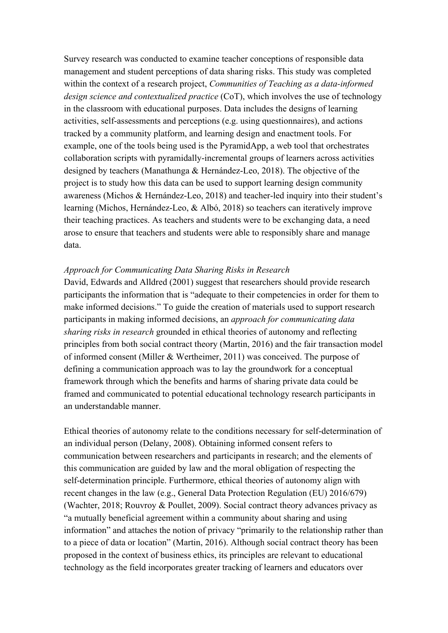Survey research was conducted to examine teacher conceptions of responsible data management and student perceptions of data sharing risks. This study was completed within the context of a research project, *Communities of Teaching as a data-informed design science and contextualized practice* (CoT), which involves the use of technology in the classroom with educational purposes. Data includes the designs of learning activities, self-assessments and perceptions (e.g. using questionnaires), and actions tracked by a community platform, and learning design and enactment tools. For example, one of the tools being used is the PyramidApp, a web tool that orchestrates collaboration scripts with pyramidally-incremental groups of learners across activities designed by teachers (Manathunga & Hernández-Leo, 2018). The objective of the project is to study how this data can be used to support learning design community awareness (Michos & Hernández-Leo, 2018) and teacher-led inquiry into their student's learning (Michos, Hernández-Leo, & Albó, 2018) so teachers can iteratively improve their teaching practices. As teachers and students were to be exchanging data, a need arose to ensure that teachers and students were able to responsibly share and manage data.

#### *Approach for Communicating Data Sharing Risks in Research*

David, Edwards and Alldred (2001) suggest that researchers should provide research participants the information that is "adequate to their competencies in order for them to make informed decisions." To guide the creation of materials used to support research participants in making informed decisions, an *approach for communicating data sharing risks in research* grounded in ethical theories of autonomy and reflecting principles from both social contract theory (Martin, 2016) and the fair transaction model of informed consent (Miller & Wertheimer, 2011) was conceived. The purpose of defining a communication approach was to lay the groundwork for a conceptual framework through which the benefits and harms of sharing private data could be framed and communicated to potential educational technology research participants in an understandable manner.

Ethical theories of autonomy relate to the conditions necessary for self-determination of an individual person (Delany, 2008). Obtaining informed consent refers to communication between researchers and participants in research; and the elements of this communication are guided by law and the moral obligation of respecting the self-determination principle. Furthermore, ethical theories of autonomy align with recent changes in the law (e.g., General Data Protection Regulation (EU) 2016/679) (Wachter, 2018; Rouvroy & Poullet, 2009). Social contract theory advances privacy as "a mutually beneficial agreement within a community about sharing and using information" and attaches the notion of privacy "primarily to the relationship rather than to a piece of data or location" (Martin, 2016). Although social contract theory has been proposed in the context of business ethics, its principles are relevant to educational technology as the field incorporates greater tracking of learners and educators over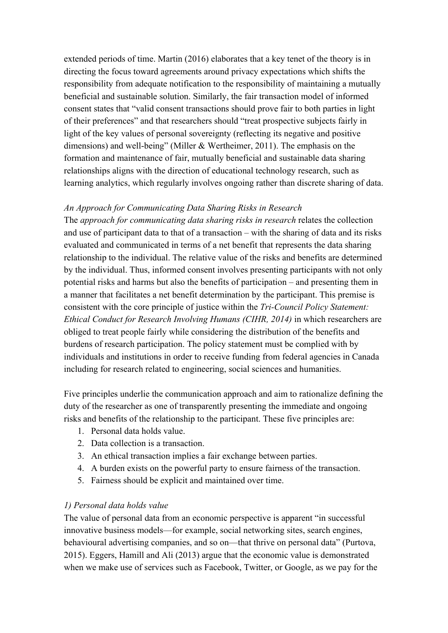extended periods of time. Martin (2016) elaborates that a key tenet of the theory is in directing the focus toward agreements around privacy expectations which shifts the responsibility from adequate notification to the responsibility of maintaining a mutually beneficial and sustainable solution. Similarly, the fair transaction model of informed consent states that "valid consent transactions should prove fair to both parties in light of their preferences" and that researchers should "treat prospective subjects fairly in light of the key values of personal sovereignty (reflecting its negative and positive dimensions) and well-being" (Miller & Wertheimer, 2011). The emphasis on the formation and maintenance of fair, mutually beneficial and sustainable data sharing relationships aligns with the direction of educational technology research, such as learning analytics, which regularly involves ongoing rather than discrete sharing of data.

### *An Approach for Communicating Data Sharing Risks in Research*

The *approach for communicating data sharing risks in research* relates the collection and use of participant data to that of a transaction – with the sharing of data and its risks evaluated and communicated in terms of a net benefit that represents the data sharing relationship to the individual. The relative value of the risks and benefits are determined by the individual. Thus, informed consent involves presenting participants with not only potential risks and harms but also the benefits of participation – and presenting them in a manner that facilitates a net benefit determination by the participant. This premise is consistent with the core principle of justice within the *Tri-Council Policy Statement: Ethical Conduct for Research Involving Humans (CIHR, 2014)* in which researchers are obliged to treat people fairly while considering the distribution of the benefits and burdens of research participation. The policy statement must be complied with by individuals and institutions in order to receive funding from federal agencies in Canada including for research related to engineering, social sciences and humanities.

Five principles underlie the communication approach and aim to rationalize defining the duty of the researcher as one of transparently presenting the immediate and ongoing risks and benefits of the relationship to the participant. These five principles are:

- 1. Personal data holds value.
- 2. Data collection is a transaction.
- 3. An ethical transaction implies a fair exchange between parties.
- 4. A burden exists on the powerful party to ensure fairness of the transaction.
- 5. Fairness should be explicit and maintained over time.

#### *1) Personal data holds value*

The value of personal data from an economic perspective is apparent "in successful innovative business models—for example, social networking sites, search engines, behavioural advertising companies, and so on—that thrive on personal data" (Purtova, 2015). Eggers, Hamill and Ali (2013) argue that the economic value is demonstrated when we make use of services such as Facebook, Twitter, or Google, as we pay for the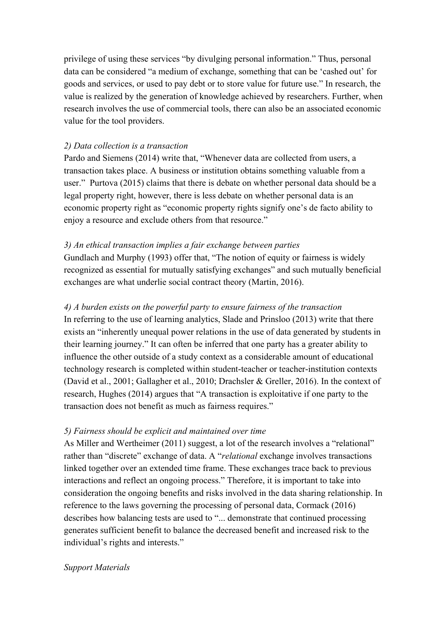privilege of using these services "by divulging personal information." Thus, personal data can be considered "a medium of exchange, something that can be 'cashed out' for goods and services, or used to pay debt or to store value for future use." In research, the value is realized by the generation of knowledge achieved by researchers. Further, when research involves the use of commercial tools, there can also be an associated economic value for the tool providers.

### *2) Data collection is a transaction*

Pardo and Siemens (2014) write that, "Whenever data are collected from users, a transaction takes place. A business or institution obtains something valuable from a user." Purtova (2015) claims that there is debate on whether personal data should be a legal property right, however, there is less debate on whether personal data is an economic property right as "economic property rights signify one's de facto ability to enjoy a resource and exclude others from that resource."

## *3) An ethical transaction implies a fair exchange between parties*

Gundlach and Murphy (1993) offer that, "The notion of equity or fairness is widely recognized as essential for mutually satisfying exchanges" and such mutually beneficial exchanges are what underlie social contract theory (Martin, 2016).

## *4) A burden exists on the powerful party to ensure fairness of the transaction*

In referring to the use of learning analytics, Slade and Prinsloo (2013) write that there exists an "inherently unequal power relations in the use of data generated by students in their learning journey." It can often be inferred that one party has a greater ability to influence the other outside of a study context as a considerable amount of educational technology research is completed within student-teacher or teacher-institution contexts (David et al., 2001; Gallagher et al., 2010; Drachsler & Greller, 2016). In the context of research, Hughes (2014) argues that "A transaction is exploitative if one party to the transaction does not benefit as much as fairness requires."

## *5) Fairness should be explicit and maintained over time*

As Miller and Wertheimer (2011) suggest, a lot of the research involves a "relational" rather than "discrete" exchange of data. A "*relational* exchange involves transactions linked together over an extended time frame. These exchanges trace back to previous interactions and reflect an ongoing process." Therefore, it is important to take into consideration the ongoing benefits and risks involved in the data sharing relationship. In reference to the laws governing the processing of personal data, Cormack (2016) describes how balancing tests are used to "... demonstrate that continued processing generates sufficient benefit to balance the decreased benefit and increased risk to the individual's rights and interests."

### *Support Materials*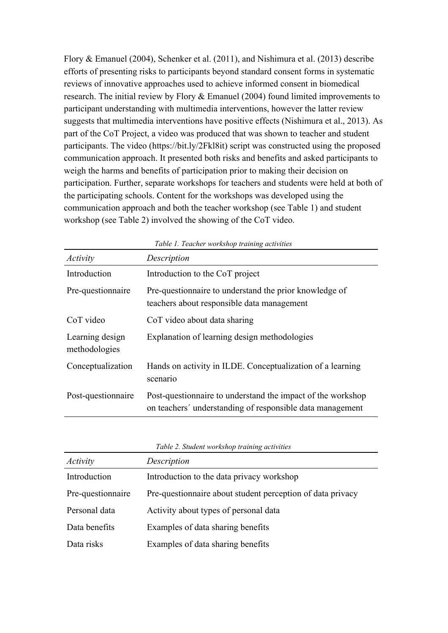Flory & Emanuel (2004), Schenker et al. (2011), and Nishimura et al. (2013) describe efforts of presenting risks to participants beyond standard consent forms in systematic reviews of innovative approaches used to achieve informed consent in biomedical research. The initial review by Flory & Emanuel (2004) found limited improvements to participant understanding with multimedia interventions, however the latter review suggests that multimedia interventions have positive effects (Nishimura et al., 2013). As part of the CoT Project, a video was produced that was shown to teacher and student participants. The video ([https://bit.ly/2Fkl8it\)](https://bit.ly/2Fkl8it) script was constructed using the proposed communication approach. It presented both risks and benefits and asked participants to weigh the harms and benefits of participation prior to making their decision on participation. Further, separate workshops for teachers and students were held at both of the participating schools. Content for the workshops was developed using the communication approach and both the teacher workshop (see Table 1) and student workshop (see Table 2) involved the showing of the CoT video.

| Table 1. Teacher workshop training activities |                                                                                                                          |  |  |  |
|-----------------------------------------------|--------------------------------------------------------------------------------------------------------------------------|--|--|--|
| Activity                                      | Description                                                                                                              |  |  |  |
| Introduction                                  | Introduction to the CoT project                                                                                          |  |  |  |
| Pre-questionnaire                             | Pre-questionnaire to understand the prior knowledge of<br>teachers about responsible data management                     |  |  |  |
| CoT video                                     | CoT video about data sharing                                                                                             |  |  |  |
| Learning design<br>methodologies              | Explanation of learning design methodologies                                                                             |  |  |  |
| Conceptualization                             | Hands on activity in ILDE. Conceptualization of a learning<br>scenario                                                   |  |  |  |
| Post-questionnaire                            | Post-questionnaire to understand the impact of the workshop<br>on teachers' understanding of responsible data management |  |  |  |

*Table 1. Teacher workshop training activities*

*Table 2. Student workshop training activities*

| Activity          | Description                                                |
|-------------------|------------------------------------------------------------|
| Introduction      | Introduction to the data privacy workshop                  |
| Pre-questionnaire | Pre-questionnaire about student perception of data privacy |
| Personal data     | Activity about types of personal data                      |
| Data benefits     | Examples of data sharing benefits                          |
| Data risks        | Examples of data sharing benefits                          |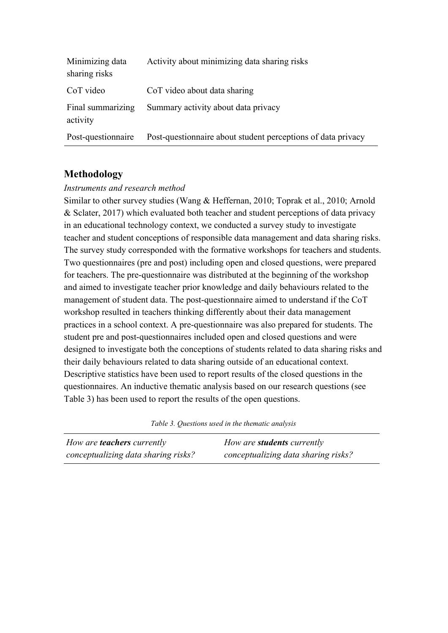| Minimizing data<br>sharing risks | Activity about minimizing data sharing risks                 |
|----------------------------------|--------------------------------------------------------------|
| CoT video                        | CoT video about data sharing                                 |
| Final summarizing<br>activity    | Summary activity about data privacy                          |
| Post-questionnaire               | Post-questionnaire about student perceptions of data privacy |

# **Methodology**

### *Instruments and research method*

Similar to other survey studies (Wang & Heffernan, 2010; Toprak et al., 2010; Arnold & Sclater, 2017) which evaluated both teacher and student perceptions of data privacy in an educational technology context, we conducted a survey study to investigate teacher and student conceptions of responsible data management and data sharing risks. The survey study corresponded with the formative workshops for teachers and students. Two questionnaires (pre and post) including open and closed questions, were prepared for teachers. The pre-questionnaire was distributed at the beginning of the workshop and aimed to investigate teacher prior knowledge and daily behaviours related to the management of student data. The post-questionnaire aimed to understand if the CoT workshop resulted in teachers thinking differently about their data management practices in a school context. A pre-questionnaire was also prepared for students. The student pre and post-questionnaires included open and closed questions and were designed to investigate both the conceptions of students related to data sharing risks and their daily behaviours related to data sharing outside of an educational context. Descriptive statistics have been used to report results of the closed questions in the questionnaires. An inductive thematic analysis based on our research questions (see Table 3) has been used to report the results of the open questions.

*Table 3. Questions used in the thematic analysis*

| How are <b>teachers</b> currently   | How are <b>students</b> currently   |
|-------------------------------------|-------------------------------------|
| conceptualizing data sharing risks? | conceptualizing data sharing risks? |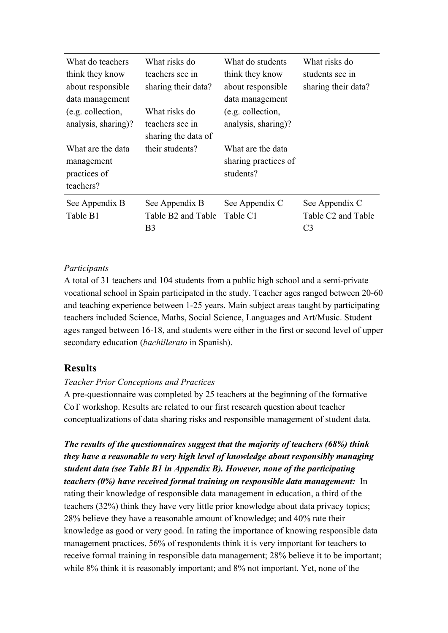| What do teachers<br>think they know<br>about responsible<br>data management<br>(e.g. collection,<br>analysis, sharing)?<br>What are the data<br>management<br>practices of<br>teachers? | What risks do<br>teachers see in<br>sharing their data?<br>What risks do<br>teachers see in<br>sharing the data of<br>their students? | What do students<br>think they know<br>about responsible<br>data management<br>(e.g. collection,<br>analysis, sharing)?<br>What are the data<br>sharing practices of<br>students? | What risks do<br>students see in<br>sharing their data?            |
|-----------------------------------------------------------------------------------------------------------------------------------------------------------------------------------------|---------------------------------------------------------------------------------------------------------------------------------------|-----------------------------------------------------------------------------------------------------------------------------------------------------------------------------------|--------------------------------------------------------------------|
| See Appendix B<br>Table B1                                                                                                                                                              | See Appendix B<br>Table B2 and Table<br>B <sub>3</sub>                                                                                | See Appendix C<br>Table C1                                                                                                                                                        | See Appendix C<br>Table C <sub>2</sub> and Table<br>C <sub>3</sub> |

# *Participants*

A total of 31 teachers and 104 students from a public high school and a semi-private vocational school in Spain participated in the study. Teacher ages ranged between 20-60 and teaching experience between 1-25 years. Main subject areas taught by participating teachers included Science, Maths, Social Science, Languages and Art/Music. Student ages ranged between 16-18, and students were either in the first or second level of upper secondary education (*bachillerato* in Spanish).

# **Results**

## *Teacher Prior Conceptions and Practices*

A pre-questionnaire was completed by 25 teachers at the beginning of the formative CoT workshop. Results are related to our first research question about teacher conceptualizations of data sharing risks and responsible management of student data.

*The results of the questionnaires suggest that the majority of teachers (68%) think they have a reasonable to very high level of knowledge about responsibly managing student data (see Table B1 in Appendix B). However, none of the participating teachers (0%) have received formal training on responsible data management:* In rating their knowledge of responsible data management in education, a third of the teachers (32%) think they have very little prior knowledge about data privacy topics; 28% believe they have a reasonable amount of knowledge; and 40% rate their knowledge as good or very good. In rating the importance of knowing responsible data management practices, 56% of respondents think it is very important for teachers to receive formal training in responsible data management; 28% believe it to be important; while 8% think it is reasonably important; and 8% not important. Yet, none of the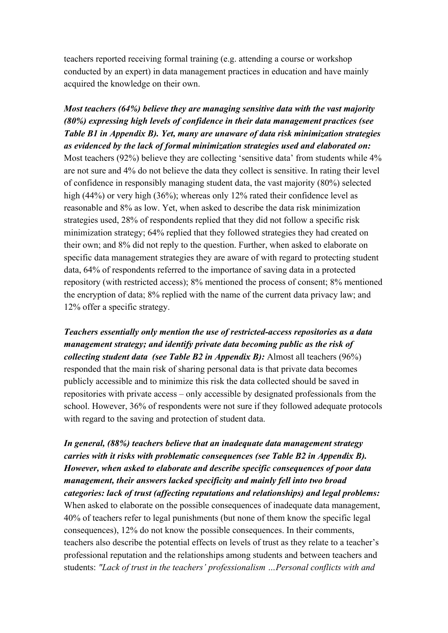teachers reported receiving formal training (e.g. attending a course or workshop conducted by an expert) in data management practices in education and have mainly acquired the knowledge on their own.

*Most teachers (64%) believe they are managing sensitive data with the vast majority (80%) expressing high levels of confidence in their data management practices (see Table B1 in Appendix B). Yet, many are unaware of data risk minimization strategies as evidenced by the lack of formal minimization strategies used and elaborated on:* Most teachers (92%) believe they are collecting 'sensitive data' from students while 4% are not sure and 4% do not believe the data they collect is sensitive. In rating their level of confidence in responsibly managing student data, the vast majority (80%) selected high (44%) or very high (36%); whereas only 12% rated their confidence level as reasonable and 8% as low. Yet, when asked to describe the data risk minimization strategies used, 28% of respondents replied that they did not follow a specific risk minimization strategy; 64% replied that they followed strategies they had created on their own; and 8% did not reply to the question. Further, when asked to elaborate on specific data management strategies they are aware of with regard to protecting student data, 64% of respondents referred to the importance of saving data in a protected repository (with restricted access); 8% mentioned the process of consent; 8% mentioned the encryption of data; 8% replied with the name of the current data privacy law; and 12% offer a specific strategy.

*Teachers essentially only mention the use of restricted-access repositories as a data management strategy; and identify private data becoming public as the risk of collecting student data (see Table B2 in Appendix B):* Almost all teachers (96%) responded that the main risk of sharing personal data is that private data becomes publicly accessible and to minimize this risk the data collected should be saved in repositories with private access – only accessible by designated professionals from the school. However, 36% of respondents were not sure if they followed adequate protocols with regard to the saving and protection of student data.

*In general, (88%) teachers believe that an inadequate data management strategy carries with it risks with problematic consequences (see Table B2 in Appendix B). However, when asked to elaborate and describe specific consequences of poor data management, their answers lacked specificity and mainly fell into two broad categories: lack of trust (affecting reputations and relationships) and legal problems:* When asked to elaborate on the possible consequences of inadequate data management, 40% of teachers refer to legal punishments (but none of them know the specific legal consequences), 12% do not know the possible consequences. In their comments, teachers also describe the potential effects on levels of trust as they relate to a teacher's professional reputation and the relationships among students and between teachers and students: *"Lack of trust in the teachers' professionalism …Personal conflicts with and*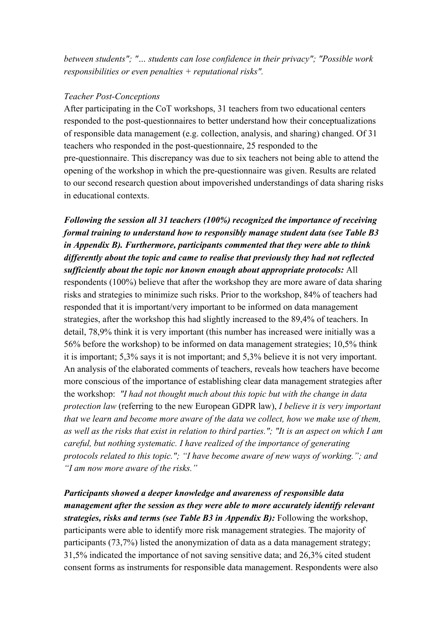*between students"; "… students can lose confidence in their privacy"; "Possible work responsibilities or even penalties + reputational risks".*

### *Teacher Post-Conceptions*

After participating in the CoT workshops, 31 teachers from two educational centers responded to the post-questionnaires to better understand how their conceptualizations of responsible data management (e.g. collection, analysis, and sharing) changed. Of 31 teachers who responded in the post-questionnaire, 25 responded to the pre-questionnaire. This discrepancy was due to six teachers not being able to attend the opening of the workshop in which the pre-questionnaire was given. Results are related to our second research question about impoverished understandings of data sharing risks in educational contexts.

*Following the session all 31 teachers (100%) recognized the importance of receiving formal training to understand how to responsibly manage student data (see Table B3 in Appendix B). Furthermore, participants commented that they were able to think differently about the topic and came to realise that previously they had not reflected sufficiently about the topic nor known enough about appropriate protocols:* All respondents (100%) believe that after the workshop they are more aware of data sharing risks and strategies to minimize such risks. Prior to the workshop, 84% of teachers had responded that it is important/very important to be informed on data management strategies, after the workshop this had slightly increased to the 89,4% of teachers. In detail, 78,9% think it is very important (this number has increased were initially was a 56% before the workshop) to be informed on data management strategies; 10,5% think it is important; 5,3% says it is not important; and 5,3% believe it is not very important. An analysis of the elaborated comments of teachers, reveals how teachers have become more conscious of the importance of establishing clear data management strategies after the workshop: *"I had not thought much about this topic but with the change in data protection law* (referring to the new European GDPR law), *I believe it is very important that we learn and become more aware of the data we collect, how we make use of them, as well as the risks that exist in relation to third parties."; "It is an aspect on which I am careful, but nothing systematic. I have realized of the importance of generating protocols related to this topic."; "I have become aware of new ways of working."; and "I am now more aware of the risks."*

*Participants showed a deeper knowledge and awareness of responsible data management after the session as they were able to more accurately identify relevant strategies, risks and terms (see Table B3 in Appendix B):* Following the workshop, participants were able to identify more risk management strategies. The majority of participants (73,7%) listed the anonymization of data as a data management strategy; 31,5% indicated the importance of not saving sensitive data; and 26,3% cited student consent forms as instruments for responsible data management. Respondents were also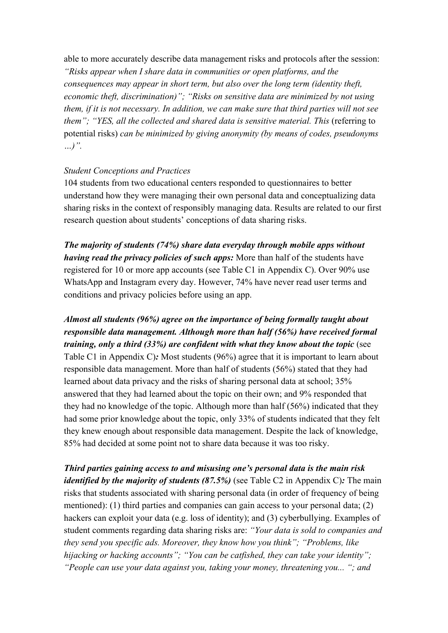able to more accurately describe data management risks and protocols after the session: *"Risks appear when I share data in communities or open platforms, and the consequences may appear in short term, but also over the long term (identity theft, economic theft, discrimination)"; "Risks on sensitive data are minimized by not using them, if it is not necessary. In addition, we can make sure that third parties will not see them"; "YES, all the collected and shared data is sensitive material. This (referring to* potential risks) *can be minimized by giving anonymity (by means of codes, pseudonyms …)".*

### *Student Conceptions and Practices*

104 students from two educational centers responded to questionnaires to better understand how they were managing their own personal data and conceptualizing data sharing risks in the context of responsibly managing data. Results are related to our first research question about students' conceptions of data sharing risks.

*The majority of students (74%) share data everyday through mobile apps without having read the privacy policies of such apps:* More than half of the students have registered for 10 or more app accounts (see Table C1 in Appendix C). Over 90% use WhatsApp and Instagram every day. However, 74% have never read user terms and conditions and privacy policies before using an app.

*Almost all students (96%) agree on the importance of being formally taught about responsible data management. Although more than half (56%) have received formal training, only a third (33%) are confident with what they know about the topic* (see Table C1 in Appendix C)*:* Most students (96%) agree that it is important to learn about responsible data management. More than half of students (56%) stated that they had learned about data privacy and the risks of sharing personal data at school; 35% answered that they had learned about the topic on their own; and 9% responded that they had no knowledge of the topic. Although more than half (56%) indicated that they had some prior knowledge about the topic, only 33% of students indicated that they felt they knew enough about responsible data management. Despite the lack of knowledge, 85% had decided at some point not to share data because it was too risky.

*Third parties gaining access to and misusing one's personal data is the main risk identified by the majority of students (87.5%)* (see Table C2 in Appendix C): The main risks that students associated with sharing personal data (in order of frequency of being mentioned): (1) third parties and companies can gain access to your personal data; (2) hackers can exploit your data (e.g. loss of identity); and (3) cyberbullying. Examples of student comments regarding data sharing risks are: *"Your data is sold to companies and they send you specific ads. Moreover, they know how you think"; "Problems, like hijacking or hacking accounts"; "You can be catfished, they can take your identity"; "People can use your data against you, taking your money, threatening you... "; and*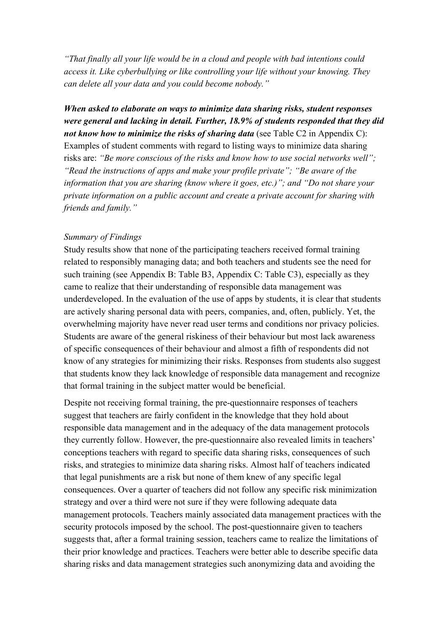*"That finally all your life would be in a cloud and people with bad intentions could access it. Like cyberbullying or like controlling your life without your knowing. They can delete all your data and you could become nobody."*

*When asked to elaborate on ways to minimize data sharing risks, student responses were general and lacking in detail. Further, 18.9% of students responded that they did not know how to minimize the risks of sharing data* (see Table C2 in Appendix C): Examples of student comments with regard to listing ways to minimize data sharing risks are: *"Be more conscious of the risks and know how to use social networks well"; "Read the instructions of apps and make your profile private"; "Be aware of the information that you are sharing (know where it goes, etc.)"; and "Do not share your private information on a public account and create a private account for sharing with friends and family."*

#### *Summary of Findings*

Study results show that none of the participating teachers received formal training related to responsibly managing data; and both teachers and students see the need for such training (see Appendix B: Table B3, Appendix C: Table C3), especially as they came to realize that their understanding of responsible data management was underdeveloped. In the evaluation of the use of apps by students, it is clear that students are actively sharing personal data with peers, companies, and, often, publicly. Yet, the overwhelming majority have never read user terms and conditions nor privacy policies. Students are aware of the general riskiness of their behaviour but most lack awareness of specific consequences of their behaviour and almost a fifth of respondents did not know of any strategies for minimizing their risks. Responses from students also suggest that students know they lack knowledge of responsible data management and recognize that formal training in the subject matter would be beneficial.

Despite not receiving formal training, the pre-questionnaire responses of teachers suggest that teachers are fairly confident in the knowledge that they hold about responsible data management and in the adequacy of the data management protocols they currently follow. However, the pre-questionnaire also revealed limits in teachers' conceptions teachers with regard to specific data sharing risks, consequences of such risks, and strategies to minimize data sharing risks. Almost half of teachers indicated that legal punishments are a risk but none of them knew of any specific legal consequences. Over a quarter of teachers did not follow any specific risk minimization strategy and over a third were not sure if they were following adequate data management protocols. Teachers mainly associated data management practices with the security protocols imposed by the school. The post-questionnaire given to teachers suggests that, after a formal training session, teachers came to realize the limitations of their prior knowledge and practices. Teachers were better able to describe specific data sharing risks and data management strategies such anonymizing data and avoiding the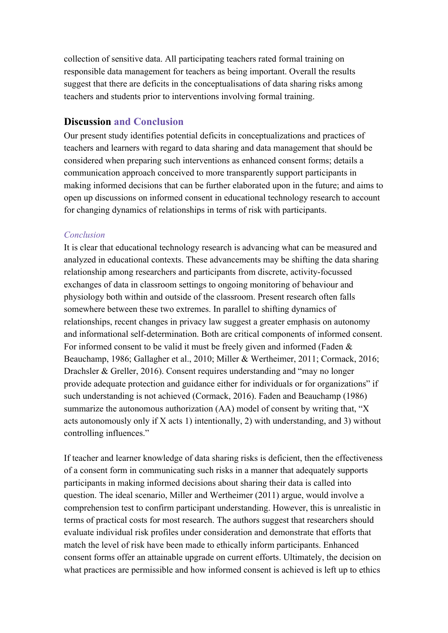collection of sensitive data. All participating teachers rated formal training on responsible data management for teachers as being important. Overall the results suggest that there are deficits in the conceptualisations of data sharing risks among teachers and students prior to interventions involving formal training.

## **Discussion and Conclusion**

Our present study identifies potential deficits in conceptualizations and practices of teachers and learners with regard to data sharing and data management that should be considered when preparing such interventions as enhanced consent forms; details a communication approach conceived to more transparently support participants in making informed decisions that can be further elaborated upon in the future; and aims to open up discussions on informed consent in educational technology research to account for changing dynamics of relationships in terms of risk with participants.

## *Conclusion*

It is clear that educational technology research is advancing what can be measured and analyzed in educational contexts. These advancements may be shifting the data sharing relationship among researchers and participants from discrete, activity-focussed exchanges of data in classroom settings to ongoing monitoring of behaviour and physiology both within and outside of the classroom. Present research often falls somewhere between these two extremes. In parallel to shifting dynamics of relationships, recent changes in privacy law suggest a greater emphasis on autonomy and informational self-determination. Both are critical components of informed consent. For informed consent to be valid it must be freely given and informed (Faden & Beauchamp, 1986; Gallagher et al., 2010; Miller & Wertheimer, 2011; Cormack, 2016; Drachsler & Greller, 2016). Consent requires understanding and "may no longer provide adequate protection and guidance either for individuals or for organizations" if such understanding is not achieved (Cormack, 2016). Faden and Beauchamp (1986) summarize the autonomous authorization (AA) model of consent by writing that, "X acts autonomously only if X acts 1) intentionally, 2) with understanding, and 3) without controlling influences."

If teacher and learner knowledge of data sharing risks is deficient, then the effectiveness of a consent form in communicating such risks in a manner that adequately supports participants in making informed decisions about sharing their data is called into question. The ideal scenario, Miller and Wertheimer (2011) argue, would involve a comprehension test to confirm participant understanding. However, this is unrealistic in terms of practical costs for most research. The authors suggest that researchers should evaluate individual risk profiles under consideration and demonstrate that efforts that match the level of risk have been made to ethically inform participants. Enhanced consent forms offer an attainable upgrade on current efforts. Ultimately, the decision on what practices are permissible and how informed consent is achieved is left up to ethics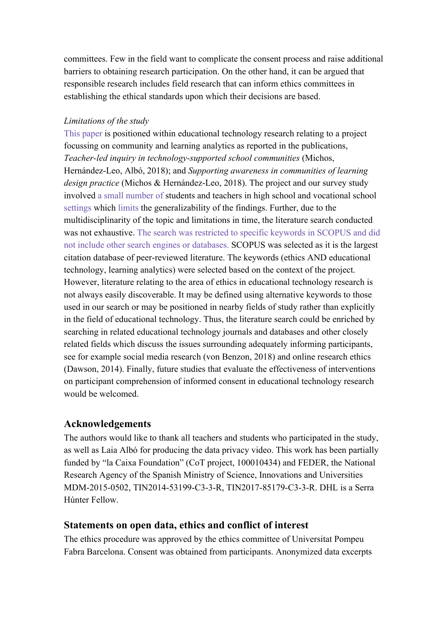committees. Few in the field want to complicate the consent process and raise additional barriers to obtaining research participation. On the other hand, it can be argued that responsible research includes field research that can inform ethics committees in establishing the ethical standards upon which their decisions are based.

### *Limitations of the study*

This paper is positioned within educational technology research relating to a project focussing on community and learning analytics as reported in the publications, *Teacher-led inquiry in technology-supported school communities* (Michos, Hernández-Leo, Albó, 2018); and *Supporting awareness in communities of learning design practice* (Michos & Hernández-Leo, 2018). The project and our survey study involved a small number of students and teachers in high school and vocational school settings which limits the generalizability of the findings. Further, due to the multidisciplinarity of the topic and limitations in time, the literature search conducted was not exhaustive. The search was restricted to specific keywords in SCOPUS and did not include other search engines or databases. SCOPUS was selected as it is the largest citation database of peer-reviewed literature. The keywords (ethics AND educational technology, learning analytics) were selected based on the context of the project. However, literature relating to the area of ethics in educational technology research is not always easily discoverable. It may be defined using alternative keywords to those used in our search or may be positioned in nearby fields of study rather than explicitly in the field of educational technology. Thus, the literature search could be enriched by searching in related educational technology journals and databases and other closely related fields which discuss the issues surrounding adequately informing participants, see for example social media research (von Benzon, 2018) and online research ethics (Dawson, 2014). Finally, future studies that evaluate the effectiveness of interventions on participant comprehension of informed consent in educational technology research would be welcomed.

## **Acknowledgements**

The authors would like to thank all teachers and students who participated in the study, as well as Laia Albó for producing the data privacy video. This work has been partially funded by "la Caixa Foundation" (CoT project, 100010434) and FEDER, the National Research Agency of the Spanish Ministry of Science, Innovations and Universities MDM-2015-0502, TIN2014-53199-C3-3-R, TIN2017-85179-C3-3-R. DHL is a Serra Húnter Fellow.

## **Statements on open data, ethics and conflict of interest**

The ethics procedure was approved by the ethics committee of Universitat Pompeu Fabra Barcelona. Consent was obtained from participants. Anonymized data excerpts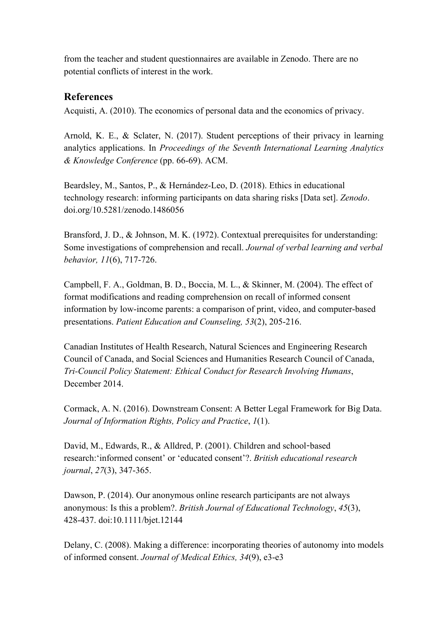from the teacher and student questionnaires are available in Zenodo. There are no potential conflicts of interest in the work.

# **References**

Acquisti, A. (2010). The economics of personal data and the economics of privacy.

Arnold, K. E., & Sclater, N. (2017). Student perceptions of their privacy in learning analytics applications. In *Proceedings of the Seventh International Learning Analytics & Knowledge Conference* (pp. 66-69). ACM.

Beardsley, M., Santos, P., & Hernández-Leo, D. (2018). Ethics in educational technology research: informing participants on data sharing risks [Data set]. *Zenodo*. doi.org/10.5281/zenodo.1486056

Bransford, J. D., & Johnson, M. K. (1972). Contextual prerequisites for understanding: Some investigations of comprehension and recall. *Journal of verbal learning and verbal behavior, 11*(6), 717-726.

Campbell, F. A., Goldman, B. D., Boccia, M. L., & Skinner, M. (2004). The effect of format modifications and reading comprehension on recall of informed consent information by low-income parents: a comparison of print, video, and computer-based presentations. *Patient Education and Counseling, 53*(2), 205-216.

Canadian Institutes of Health Research, Natural Sciences and Engineering Research Council of Canada, and Social Sciences and Humanities Research Council of Canada, *Tri-Council Policy Statement: Ethical Conduct for Research Involving Humans*, December 2014.

Cormack, A. N. (2016). Downstream Consent: A Better Legal Framework for Big Data. *Journal of Information Rights, Policy and Practice*, *1*(1).

David, M., Edwards, R., & Alldred, P. (2001). Children and school-based research:'informed consent' or 'educated consent'?. *British educational research journal*, *27*(3), 347-365.

Dawson, P. (2014). Our anonymous online research participants are not always anonymous: Is this a problem?. *British Journal of Educational Technology*, *45*(3), 428-437. doi:10.1111/bjet.12144

Delany, C. (2008). Making a difference: incorporating theories of autonomy into models of informed consent. *Journal of Medical Ethics, 34*(9), e3-e3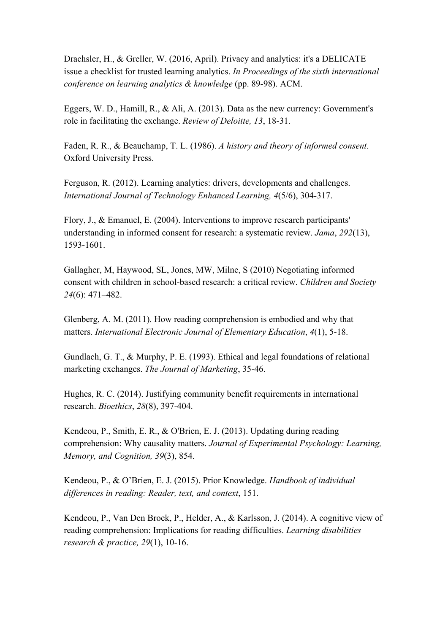Drachsler, H., & Greller, W. (2016, April). Privacy and analytics: it's a DELICATE issue a checklist for trusted learning analytics. *In Proceedings of the sixth international conference on learning analytics & knowledge* (pp. 89-98). ACM.

Eggers, W. D., Hamill, R., & Ali, A. (2013). Data as the new currency: Government's role in facilitating the exchange. *Review of Deloitte, 13*, 18-31.

Faden, R. R., & Beauchamp, T. L. (1986). *A history and theory of informed consent*. Oxford University Press.

Ferguson, R. (2012). Learning analytics: drivers, developments and challenges. *International Journal of Technology Enhanced Learning, 4*(5/6), 304-317.

Flory, J., & Emanuel, E. (2004). Interventions to improve research participants' understanding in informed consent for research: a systematic review. *Jama*, *292*(13), 1593-1601.

Gallagher, M, Haywood, SL, Jones, MW, Milne, S (2010) Negotiating informed consent with children in school-based research: a critical review. *Children and Society 24*(6): 471–482.

Glenberg, A. M. (2011). How reading comprehension is embodied and why that matters. *International Electronic Journal of Elementary Education*, *4*(1), 5-18.

Gundlach, G. T., & Murphy, P. E. (1993). Ethical and legal foundations of relational marketing exchanges. *The Journal of Marketing*, 35-46.

Hughes, R. C. (2014). Justifying community benefit requirements in international research. *Bioethics*, *28*(8), 397-404.

Kendeou, P., Smith, E. R., & O'Brien, E. J. (2013). Updating during reading comprehension: Why causality matters. *Journal of Experimental Psychology: Learning, Memory, and Cognition, 39*(3), 854.

Kendeou, P., & O'Brien, E. J. (2015). Prior Knowledge. *Handbook of individual differences in reading: Reader, text, and context*, 151.

Kendeou, P., Van Den Broek, P., Helder, A., & Karlsson, J. (2014). A cognitive view of reading comprehension: Implications for reading difficulties. *Learning disabilities research & practice, 29*(1), 10-16.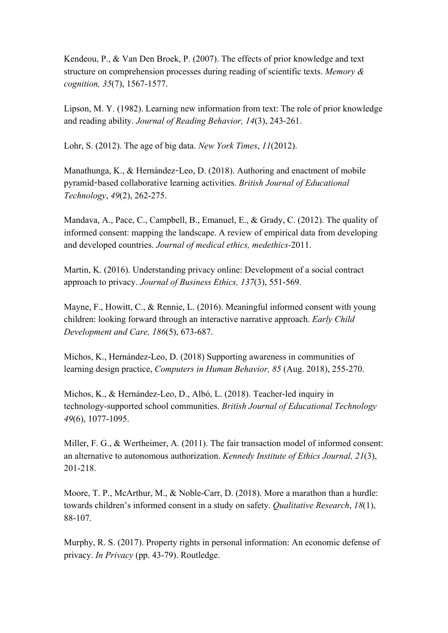Kendeou, P., & Van Den Broek, P. (2007). The effects of prior knowledge and text structure on comprehension processes during reading of scientific texts. *Memory & cognition, 35*(7), 1567-1577.

Lipson, M. Y. (1982). Learning new information from text: The role of prior knowledge and reading ability. *Journal of Reading Behavior, 14*(3), 243-261.

Lohr, S. (2012). The age of big data. *New York Times*, *11*(2012).

Manathunga, K., & Hernández-Leo, D. (2018). Authoring and enactment of mobile pyramid-based collaborative learning activities. *British Journal of Educational Technology*, *49*(2), 262-275.

Mandava, A., Pace, C., Campbell, B., Emanuel, E., & Grady, C. (2012). The quality of informed consent: mapping the landscape. A review of empirical data from developing and developed countries. *Journal of medical ethics, medethics-*2011.

Martin, K. (2016). Understanding privacy online: Development of a social contract approach to privacy. *Journal of Business Ethics, 137*(3), 551-569.

Mayne, F., Howitt, C., & Rennie, L. (2016). Meaningful informed consent with young children: looking forward through an interactive narrative approach. *Early Child Development and Care, 186*(5), 673-687.

Michos, K., Hernández-Leo, D. (2018) Supporting awareness in communities of learning design practice, *Computers in Human Behavior, 85* (Aug. 2018), 255-270.

Michos, K., & Hernández-Leo, D., Albó, L. (2018). Teacher-led inquiry in technology-supported school communities. *British Journal of Educational Technology 49*(6), 1077-1095.

Miller, F. G., & Wertheimer, A. (2011). The fair transaction model of informed consent: an alternative to autonomous authorization. *Kennedy Institute of Ethics Journal, 21*(3), 201-218.

Moore, T. P., McArthur, M., & Noble-Carr, D. (2018). More a marathon than a hurdle: towards children's informed consent in a study on safety. *Qualitative Research*, *18*(1), 88-107.

Murphy, R. S. (2017). Property rights in personal information: An economic defense of privacy. *In Privacy* (pp. 43-79). Routledge.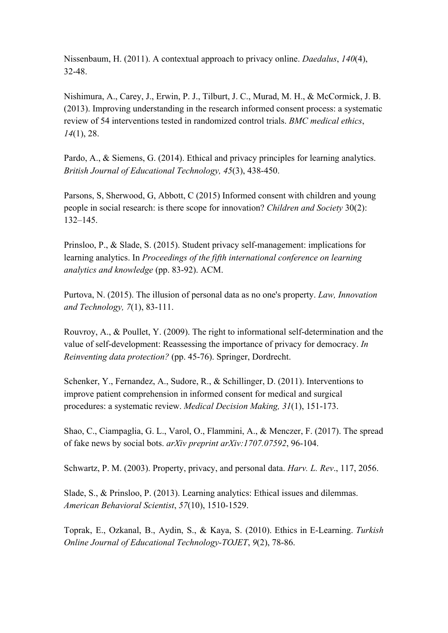Nissenbaum, H. (2011). A contextual approach to privacy online. *Daedalus*, *140*(4), 32-48.

Nishimura, A., Carey, J., Erwin, P. J., Tilburt, J. C., Murad, M. H., & McCormick, J. B. (2013). Improving understanding in the research informed consent process: a systematic review of 54 interventions tested in randomized control trials. *BMC medical ethics*, *14*(1), 28.

Pardo, A., & Siemens, G. (2014). Ethical and privacy principles for learning analytics. *British Journal of Educational Technology, 45*(3), 438-450.

Parsons, S, Sherwood, G, Abbott, C (2015) Informed consent with children and young people in social research: is there scope for innovation? *Children and Society* 30(2): 132–145.

Prinsloo, P., & Slade, S. (2015). Student privacy self-management: implications for learning analytics. In *Proceedings of the fifth international conference on learning analytics and knowledge* (pp. 83-92). ACM.

Purtova, N. (2015). The illusion of personal data as no one's property. *Law, Innovation and Technology, 7*(1), 83-111.

Rouvroy, A., & Poullet, Y. (2009). The right to informational self-determination and the value of self-development: Reassessing the importance of privacy for democracy. *In Reinventing data protection?* (pp. 45-76). Springer, Dordrecht.

Schenker, Y., Fernandez, A., Sudore, R., & Schillinger, D. (2011). Interventions to improve patient comprehension in informed consent for medical and surgical procedures: a systematic review. *Medical Decision Making, 31*(1), 151-173.

Shao, C., Ciampaglia, G. L., Varol, O., Flammini, A., & Menczer, F. (2017). The spread of fake news by social bots. *arXiv preprint arXiv:1707.07592*, 96-104.

Schwartz, P. M. (2003). Property, privacy, and personal data. *Harv. L. Rev*., 117, 2056.

Slade, S., & Prinsloo, P. (2013). Learning analytics: Ethical issues and dilemmas. *American Behavioral Scientist*, *57*(10), 1510-1529.

Toprak, E., Ozkanal, B., Aydin, S., & Kaya, S. (2010). Ethics in E-Learning. *Turkish Online Journal of Educational Technology-TOJET*, *9*(2), 78-86.